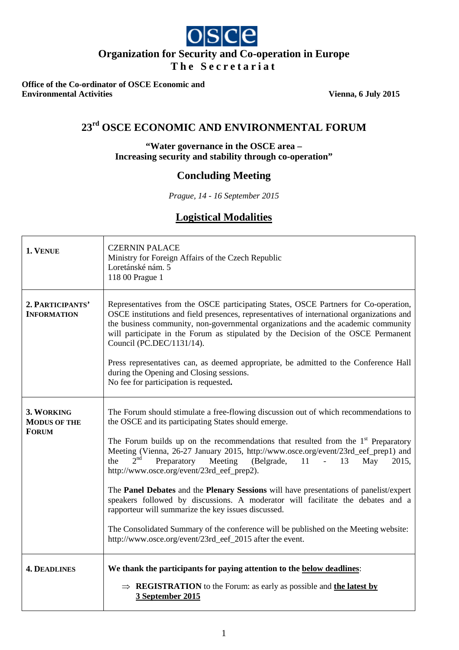# $O|S|C|C|$ **Organization for Security and Co-operation in Europe**

**The Secretariat**

**Office of the Co-ordinator of OSCE Economic and Environmental Activities** Vienna, 6 July 2015

# **23rd OSCE ECONOMIC AND ENVIRONMENTAL FORUM**

# **"Water governance in the OSCE area – Increasing security and stability through co-operation"**

# **Concluding Meeting**

*Prague, 14 - 16 September 2015*

# **Logistical Modalities**

| 1. VENUE                                          | <b>CZERNIN PALACE</b><br>Ministry for Foreign Affairs of the Czech Republic<br>Loretánské nám. 5<br>118 00 Prague 1                                                                                                                                                                                                                                                                                                                                                                                                                                                                                                                                                                                                                                                                                                                                                |  |  |  |
|---------------------------------------------------|--------------------------------------------------------------------------------------------------------------------------------------------------------------------------------------------------------------------------------------------------------------------------------------------------------------------------------------------------------------------------------------------------------------------------------------------------------------------------------------------------------------------------------------------------------------------------------------------------------------------------------------------------------------------------------------------------------------------------------------------------------------------------------------------------------------------------------------------------------------------|--|--|--|
| 2. PARTICIPANTS'<br><b>INFORMATION</b>            | Representatives from the OSCE participating States, OSCE Partners for Co-operation,<br>OSCE institutions and field presences, representatives of international organizations and<br>the business community, non-governmental organizations and the academic community<br>will participate in the Forum as stipulated by the Decision of the OSCE Permanent<br>Council (PC.DEC/1131/14).<br>Press representatives can, as deemed appropriate, be admitted to the Conference Hall<br>during the Opening and Closing sessions.<br>No fee for participation is requested.                                                                                                                                                                                                                                                                                              |  |  |  |
| 3. WORKING<br><b>MODUS OF THE</b><br><b>FORUM</b> | The Forum should stimulate a free-flowing discussion out of which recommendations to<br>the OSCE and its participating States should emerge.<br>The Forum builds up on the recommendations that resulted from the $1st$ Preparatory<br>Meeting (Vienna, 26-27 January 2015, http://www.osce.org/event/23rd_eef_prep1) and<br>2 <sup>nd</sup><br>Preparatory<br>Meeting<br>(Belgrade,<br>$11 - -$<br>13<br>the<br>May<br>2015,<br>http://www.osce.org/event/23rd_eef_prep2).<br>The Panel Debates and the Plenary Sessions will have presentations of panelist/expert<br>speakers followed by discussions. A moderator will facilitate the debates and a<br>rapporteur will summarize the key issues discussed.<br>The Consolidated Summary of the conference will be published on the Meeting website:<br>http://www.osce.org/event/23rd_eef_2015 after the event. |  |  |  |
| <b>4. DEADLINES</b>                               | We thank the participants for paying attention to the below deadlines:<br>$\Rightarrow$ <b>REGISTRATION</b> to the Forum: as early as possible and the latest by<br>3 September 2015                                                                                                                                                                                                                                                                                                                                                                                                                                                                                                                                                                                                                                                                               |  |  |  |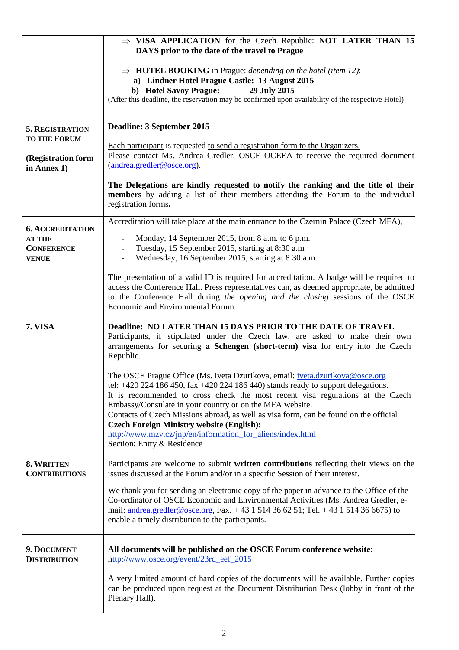|                                                    | $\Rightarrow$ VISA APPLICATION for the Czech Republic: NOT LATER THAN 15<br>DAYS prior to the date of the travel to Prague                                                                                                                                                                                                                                                                                          |  |  |  |  |
|----------------------------------------------------|---------------------------------------------------------------------------------------------------------------------------------------------------------------------------------------------------------------------------------------------------------------------------------------------------------------------------------------------------------------------------------------------------------------------|--|--|--|--|
|                                                    | $\Rightarrow$ <b>HOTEL BOOKING</b> in Prague: <i>depending on the hotel (item 12)</i> :<br>a) Lindner Hotel Prague Castle: 13 August 2015<br>b) Hotel Savoy Prague:<br>29 July 2015<br>(After this deadline, the reservation may be confirmed upon availability of the respective Hotel)                                                                                                                            |  |  |  |  |
| 5. REGISTRATION<br><b>TO THE FORUM</b>             | Deadline: 3 September 2015                                                                                                                                                                                                                                                                                                                                                                                          |  |  |  |  |
| (Registration form<br>in Annex 1)                  | Each participant is requested to send a registration form to the Organizers.<br>Please contact Ms. Andrea Gredler, OSCE OCEEA to receive the required document<br>$(and real, qredler@osce.org).$                                                                                                                                                                                                                   |  |  |  |  |
|                                                    | The Delegations are kindly requested to notify the ranking and the title of their<br>members by adding a list of their members attending the Forum to the individual<br>registration forms.                                                                                                                                                                                                                         |  |  |  |  |
| <b>6. ACCREDITATION</b>                            | Accreditation will take place at the main entrance to the Czernin Palace (Czech MFA),                                                                                                                                                                                                                                                                                                                               |  |  |  |  |
| <b>AT THE</b><br><b>CONFERENCE</b><br><b>VENUE</b> | Monday, 14 September 2015, from 8 a.m. to 6 p.m.<br>$\blacksquare$<br>Tuesday, 15 September 2015, starting at 8:30 a.m.<br>$\blacksquare$<br>Wednesday, 16 September 2015, starting at 8:30 a.m.                                                                                                                                                                                                                    |  |  |  |  |
|                                                    | The presentation of a valid ID is required for accreditation. A badge will be required to<br>access the Conference Hall. Press representatives can, as deemed appropriate, be admitted<br>to the Conference Hall during the opening and the closing sessions of the OSCE<br>Economic and Environmental Forum.                                                                                                       |  |  |  |  |
| 7. VISA                                            | Deadline: NO LATER THAN 15 DAYS PRIOR TO THE DATE OF TRAVEL<br>Participants, if stipulated under the Czech law, are asked to make their own<br>arrangements for securing a Schengen (short-term) visa for entry into the Czech<br>Republic.                                                                                                                                                                         |  |  |  |  |
|                                                    | The OSCE Prague Office (Ms. Iveta Dzurikova, email: <i>iveta.dzurikova@osce.org</i><br>tel: $+420$ 224 186 450, fax $+420$ 224 186 440) stands ready to support delegations.<br>It is recommended to cross check the most recent visa regulations at the Czech<br>Embassy/Consulate in your country or on the MFA website.<br>Contacts of Czech Missions abroad, as well as visa form, can be found on the official |  |  |  |  |
|                                                    | <b>Czech Foreign Ministry website (English):</b><br>http://www.mzv.cz/jnp/en/information for aliens/index.html<br>Section: Entry & Residence                                                                                                                                                                                                                                                                        |  |  |  |  |
| 8. WRITTEN<br><b>CONTRIBUTIONS</b>                 | Participants are welcome to submit written contributions reflecting their views on the<br>issues discussed at the Forum and/or in a specific Session of their interest.                                                                                                                                                                                                                                             |  |  |  |  |
|                                                    | We thank you for sending an electronic copy of the paper in advance to the Office of the<br>Co-ordinator of OSCE Economic and Environmental Activities (Ms. Andrea Gredler, e-<br>mail: <u>andrea.gredler@osce.org</u> , Fax. + 43 1 514 36 62 51; Tel. + 43 1 514 36 6675) to<br>enable a timely distribution to the participants.                                                                                 |  |  |  |  |
| 9. DOCUMENT<br><b>DISTRIBUTION</b>                 | All documents will be published on the OSCE Forum conference website:<br>http://www.osce.org/event/23rd_eef_2015                                                                                                                                                                                                                                                                                                    |  |  |  |  |
|                                                    | A very limited amount of hard copies of the documents will be available. Further copies<br>can be produced upon request at the Document Distribution Desk (lobby in front of the<br>Plenary Hall).                                                                                                                                                                                                                  |  |  |  |  |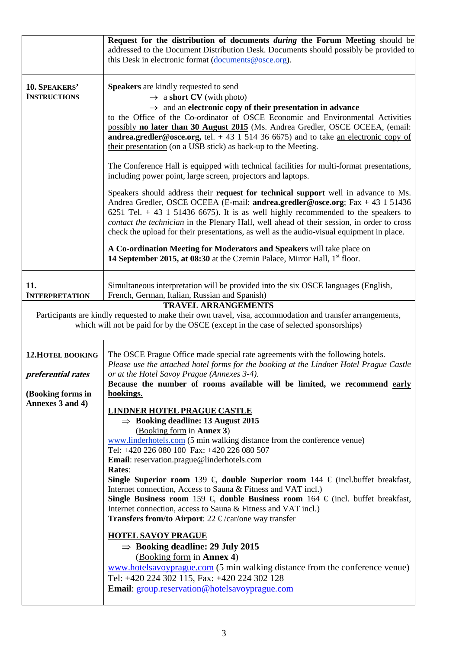|                                                | Request for the distribution of documents <i>during</i> the Forum Meeting should be<br>addressed to the Document Distribution Desk. Documents should possibly be provided to<br>this Desk in electronic format (documents @osce.org).                                                                                                                                                                                                                                                                                                                                                                                     |  |  |  |  |
|------------------------------------------------|---------------------------------------------------------------------------------------------------------------------------------------------------------------------------------------------------------------------------------------------------------------------------------------------------------------------------------------------------------------------------------------------------------------------------------------------------------------------------------------------------------------------------------------------------------------------------------------------------------------------------|--|--|--|--|
| 10. SPEAKERS'<br><b>INSTRUCTIONS</b>           | <b>Speakers</b> are kindly requested to send<br>$\rightarrow$ a short CV (with photo)<br>$\rightarrow$ and an electronic copy of their presentation in advance<br>to the Office of the Co-ordinator of OSCE Economic and Environmental Activities<br>possibly no later than 30 August 2015 (Ms. Andrea Gredler, OSCE OCEEA, (email:<br><b>andrea.gredler@osce.org,</b> tel. $+ 43 1 514 36 6675$ and to take an electronic copy of<br>their presentation (on a USB stick) as back-up to the Meeting.                                                                                                                      |  |  |  |  |
|                                                | The Conference Hall is equipped with technical facilities for multi-format presentations,<br>including power point, large screen, projectors and laptops.                                                                                                                                                                                                                                                                                                                                                                                                                                                                 |  |  |  |  |
|                                                | Speakers should address their request for technical support well in advance to Ms.<br>Andrea Gredler, OSCE OCEEA (E-mail: andrea.gredler@osce.org; Fax + 43 1 51436<br>6251 Tel. $+ 43$ 1 51436 6675). It is as well highly recommended to the speakers to<br>contact the technician in the Plenary Hall, well ahead of their session, in order to cross<br>check the upload for their presentations, as well as the audio-visual equipment in place.<br>A Co-ordination Meeting for Moderators and Speakers will take place on<br>14 September 2015, at 08:30 at the Czernin Palace, Mirror Hall, 1 <sup>st</sup> floor. |  |  |  |  |
| 11.<br><b>INTERPRETATION</b>                   | Simultaneous interpretation will be provided into the six OSCE languages (English,<br>French, German, Italian, Russian and Spanish)                                                                                                                                                                                                                                                                                                                                                                                                                                                                                       |  |  |  |  |
|                                                | <b>TRAVEL ARRANGEMENTS</b><br>Participants are kindly requested to make their own travel, visa, accommodation and transfer arrangements,<br>which will not be paid for by the OSCE (except in the case of selected sponsorships)                                                                                                                                                                                                                                                                                                                                                                                          |  |  |  |  |
| <b>12. HOTEL BOOKING</b><br>preferential rates | The OSCE Prague Office made special rate agreements with the following hotels.<br>Please use the attached hotel forms for the booking at the Lindner Hotel Prague Castle<br>or at the Hotel Savoy Prague (Annexes 3-4).                                                                                                                                                                                                                                                                                                                                                                                                   |  |  |  |  |
| (Booking forms in<br>Annexes 3 and 4)          | Because the number of rooms available will be limited, we recommend early<br>bookings.                                                                                                                                                                                                                                                                                                                                                                                                                                                                                                                                    |  |  |  |  |
|                                                | <b>LINDNER HOTEL PRAGUE CASTLE</b><br>$\Rightarrow$ Booking deadline: 13 August 2015<br>(Booking form in <b>Annex 3</b> )<br>www.linderhotels.com (5 min walking distance from the conference venue)<br>Tel: +420 226 080 100 Fax: +420 226 080 507<br>Email: reservation.prague@linderhotels.com<br>Rates:<br>Single Superior room 139 € double Superior room 144 € (incl.buffet breakfast,<br>Internet connection, Access to Sauna & Fitness and VAT incl.)<br>Single Business room 159 € double Business room 164 € (incl. buffet breakfast,                                                                           |  |  |  |  |
|                                                | Internet connection, access to Sauna & Fitness and VAT incl.)<br><b>Transfers from/to Airport:</b> 22 $\epsilon$ /car/one way transfer                                                                                                                                                                                                                                                                                                                                                                                                                                                                                    |  |  |  |  |
|                                                | <b>HOTEL SAVOY PRAGUE</b><br>$\Rightarrow$ Booking deadline: 29 July 2015<br>(Booking form in <b>Annex 4)</b><br>www.hotelsavoyprague.com (5 min walking distance from the conference venue)<br>Tel: +420 224 302 115, Fax: +420 224 302 128                                                                                                                                                                                                                                                                                                                                                                              |  |  |  |  |
|                                                | Email: group.reservation@hotelsavoyprague.com                                                                                                                                                                                                                                                                                                                                                                                                                                                                                                                                                                             |  |  |  |  |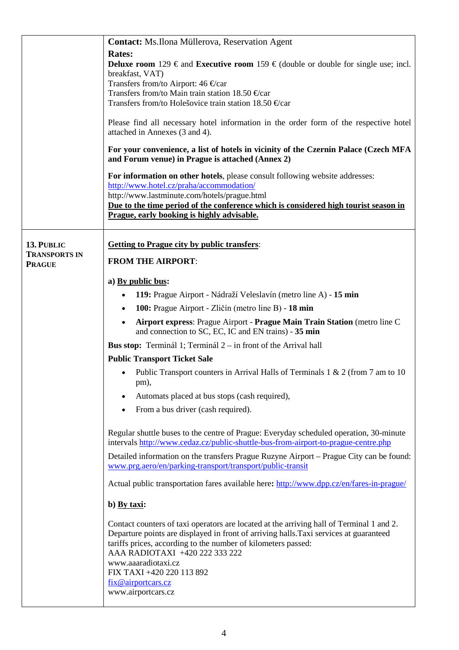|                                    | Contact: Ms. Ilona Müllerova, Reservation Agent                                                                                                                                                                                                                                                               |  |  |  |  |
|------------------------------------|---------------------------------------------------------------------------------------------------------------------------------------------------------------------------------------------------------------------------------------------------------------------------------------------------------------|--|--|--|--|
|                                    | <b>Rates:</b><br><b>Deluxe room</b> 129 € and <b>Executive room</b> 159 € (double or double for single use; incl.<br>breakfast, VAT)<br>Transfers from/to Airport: 46 € car<br>Transfers from/to Main train station 18.50 $\in$ car<br>Transfers from/to Holesovice train station 18.50 $\epsilon$ car        |  |  |  |  |
|                                    | Please find all necessary hotel information in the order form of the respective hotel<br>attached in Annexes (3 and 4).                                                                                                                                                                                       |  |  |  |  |
|                                    | For your convenience, a list of hotels in vicinity of the Czernin Palace (Czech MFA<br>and Forum venue) in Prague is attached (Annex 2)                                                                                                                                                                       |  |  |  |  |
|                                    | For information on other hotels, please consult following website addresses:<br>http://www.hotel.cz/praha/accommodation/<br>http://www.lastminute.com/hotels/prague.html<br>Due to the time period of the conference which is considered high tourist season in<br>Prague, early booking is highly advisable. |  |  |  |  |
|                                    |                                                                                                                                                                                                                                                                                                               |  |  |  |  |
| 13. PUBLIC<br><b>TRANSPORTS IN</b> | <b>Getting to Prague city by public transfers:</b>                                                                                                                                                                                                                                                            |  |  |  |  |
| <b>PRAGUE</b>                      | <b>FROM THE AIRPORT:</b>                                                                                                                                                                                                                                                                                      |  |  |  |  |
|                                    | a) By public bus:                                                                                                                                                                                                                                                                                             |  |  |  |  |
|                                    | 119: Prague Airport - Nádraží Veleslavín (metro line A) - 15 min                                                                                                                                                                                                                                              |  |  |  |  |
|                                    | 100: Prague Airport - Zličín (metro line B) - 18 min                                                                                                                                                                                                                                                          |  |  |  |  |
|                                    | Airport express: Prague Airport - Prague Main Train Station (metro line C<br>and connection to SC, EC, IC and EN trains) - 35 min                                                                                                                                                                             |  |  |  |  |
|                                    | <b>Bus stop:</b> Terminál 1; Terminál $2 -$ in front of the Arrival hall                                                                                                                                                                                                                                      |  |  |  |  |
|                                    | <b>Public Transport Ticket Sale</b>                                                                                                                                                                                                                                                                           |  |  |  |  |
|                                    | Public Transport counters in Arrival Halls of Terminals 1 & 2 (from 7 am to 10)<br>$\bullet$<br>pm),                                                                                                                                                                                                          |  |  |  |  |
|                                    | Automats placed at bus stops (cash required),                                                                                                                                                                                                                                                                 |  |  |  |  |
|                                    | From a bus driver (cash required).                                                                                                                                                                                                                                                                            |  |  |  |  |
|                                    | Regular shuttle buses to the centre of Prague: Everyday scheduled operation, 30-minute<br>intervals http://www.cedaz.cz/public-shuttle-bus-from-airport-to-prague-centre.php                                                                                                                                  |  |  |  |  |
|                                    | Detailed information on the transfers Prague Ruzyne Airport – Prague City can be found:<br>www.prg.aero/en/parking-transport/transport/public-transit                                                                                                                                                         |  |  |  |  |
|                                    | Actual public transportation fares available here: http://www.dpp.cz/en/fares-in-prague/                                                                                                                                                                                                                      |  |  |  |  |
|                                    | b) By taxi:                                                                                                                                                                                                                                                                                                   |  |  |  |  |
|                                    | Contact counters of taxi operators are located at the arriving hall of Terminal 1 and 2.<br>Departure points are displayed in front of arriving halls. Taxi services at guaranteed<br>tariffs prices, according to the number of kilometers passed:<br>AAA RADIOTAXI +420 222 333 222                         |  |  |  |  |
|                                    | www.aaaradiotaxi.cz<br>FIX TAXI +420 220 113 892<br>fix@airportcars.cz<br>www.airportcars.cz                                                                                                                                                                                                                  |  |  |  |  |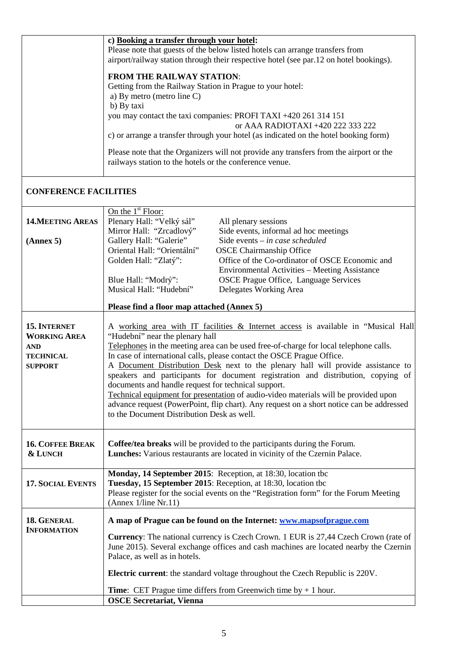| c) Booking a transfer through your hotel:                                                                                                         |
|---------------------------------------------------------------------------------------------------------------------------------------------------|
| Please note that guests of the below listed hotels can arrange transfers from                                                                     |
| airport/railway station through their respective hotel (see par.12 on hotel bookings).                                                            |
| <b>FROM THE RAILWAY STATION:</b>                                                                                                                  |
| Getting from the Railway Station in Prague to your hotel:                                                                                         |
| a) By metro (metro line C)                                                                                                                        |
| b) By taxi                                                                                                                                        |
| you may contact the taxi companies: PROFI TAXI +420 261 314 151                                                                                   |
| or AAA RADIOTAXI +420 222 333 222                                                                                                                 |
| c) or arrange a transfer through your hotel (as indicated on the hotel booking form)                                                              |
| Please note that the Organizers will not provide any transfers from the airport or the<br>railways station to the hotels or the conference venue. |
|                                                                                                                                                   |

# **CONFERENCE FACILITIES**

|                          | On the $1st$ Floor:                                                                      |  |  |  |  |  |
|--------------------------|------------------------------------------------------------------------------------------|--|--|--|--|--|
| <b>14. MEETING AREAS</b> | Plenary Hall: "Velký sál"<br>All plenary sessions                                        |  |  |  |  |  |
|                          | Mirror Hall: "Zrcadlový"<br>Side events, informal ad hoc meetings                        |  |  |  |  |  |
|                          |                                                                                          |  |  |  |  |  |
| (Annex 5)                | Gallery Hall: "Galerie"<br>Side events - in case scheduled                               |  |  |  |  |  |
|                          | Oriental Hall: "Orientální"<br><b>OSCE Chairmanship Office</b>                           |  |  |  |  |  |
|                          | Golden Hall: "Zlatý":<br>Office of the Co-ordinator of OSCE Economic and                 |  |  |  |  |  |
|                          | Environmental Activities - Meeting Assistance                                            |  |  |  |  |  |
|                          | <b>OSCE Prague Office, Language Services</b><br>Blue Hall: "Modrý":                      |  |  |  |  |  |
|                          | Musical Hall: "Hudební"<br>Delegates Working Area                                        |  |  |  |  |  |
|                          |                                                                                          |  |  |  |  |  |
|                          | Please find a floor map attached (Annex 5)                                               |  |  |  |  |  |
|                          |                                                                                          |  |  |  |  |  |
| <b>15. INTERNET</b>      | A working area with IT facilities & Internet access is available in "Musical Hall"       |  |  |  |  |  |
| <b>WORKING AREA</b>      | "Hudební" near the plenary hall                                                          |  |  |  |  |  |
| <b>AND</b>               | Telephones in the meeting area can be used free-of-charge for local telephone calls.     |  |  |  |  |  |
| <b>TECHNICAL</b>         | In case of international calls, please contact the OSCE Prague Office.                   |  |  |  |  |  |
| <b>SUPPORT</b>           | A Document Distribution Desk next to the plenary hall will provide assistance to         |  |  |  |  |  |
|                          | speakers and participants for document registration and distribution, copying of         |  |  |  |  |  |
|                          | documents and handle request for technical support.                                      |  |  |  |  |  |
|                          | Technical equipment for presentation of audio-video materials will be provided upon      |  |  |  |  |  |
|                          | advance request (PowerPoint, flip chart). Any request on a short notice can be addressed |  |  |  |  |  |
|                          | to the Document Distribution Desk as well.                                               |  |  |  |  |  |
|                          |                                                                                          |  |  |  |  |  |
|                          |                                                                                          |  |  |  |  |  |
| <b>16. COFFEE BREAK</b>  | Coffee/tea breaks will be provided to the participants during the Forum.                 |  |  |  |  |  |
| & LUNCH                  | Lunches: Various restaurants are located in vicinity of the Czernin Palace.              |  |  |  |  |  |
|                          |                                                                                          |  |  |  |  |  |
|                          | Monday, 14 September 2015: Reception, at 18:30, location tbc                             |  |  |  |  |  |
| <b>17. SOCIAL EVENTS</b> | Tuesday, 15 September 2015: Reception, at 18:30, location tbc                            |  |  |  |  |  |
|                          | Please register for the social events on the "Registration form" for the Forum Meeting   |  |  |  |  |  |
|                          | (Annex 1/line Nr.11)                                                                     |  |  |  |  |  |
|                          |                                                                                          |  |  |  |  |  |
| 18. GENERAL              | A map of Prague can be found on the Internet: www.mapsofprague.com                       |  |  |  |  |  |
| <b>INFORMATION</b>       | Currency: The national currency is Czech Crown. 1 EUR is 27,44 Czech Crown (rate of      |  |  |  |  |  |
|                          | June 2015). Several exchange offices and cash machines are located nearby the Czernin    |  |  |  |  |  |
|                          | Palace, as well as in hotels.                                                            |  |  |  |  |  |
|                          |                                                                                          |  |  |  |  |  |
|                          | Electric current: the standard voltage throughout the Czech Republic is 220V.            |  |  |  |  |  |
|                          | <b>Time:</b> CET Prague time differs from Greenwich time by $+1$ hour.                   |  |  |  |  |  |
|                          | <b>OSCE Secretariat, Vienna</b>                                                          |  |  |  |  |  |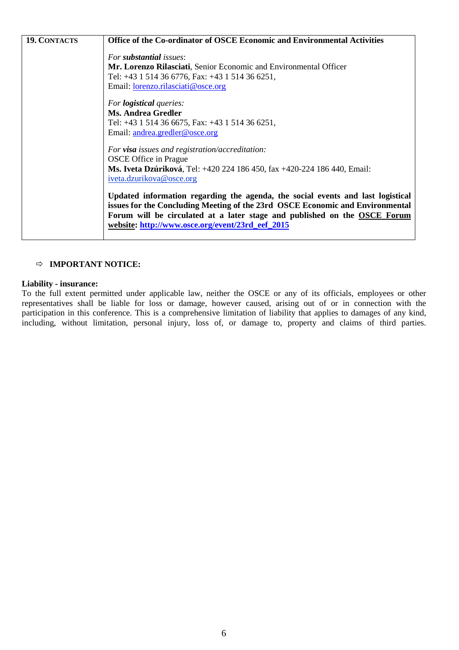| <b>19. CONTACTS</b> | <b>Office of the Co-ordinator of OSCE Economic and Environmental Activities</b>                                                                                                                                                                                                                   |
|---------------------|---------------------------------------------------------------------------------------------------------------------------------------------------------------------------------------------------------------------------------------------------------------------------------------------------|
|                     | For <b>substantial</b> issues:                                                                                                                                                                                                                                                                    |
|                     | Mr. Lorenzo Rilasciati, Senior Economic and Environmental Officer                                                                                                                                                                                                                                 |
|                     | Tel: +43 1 514 36 6776, Fax: +43 1 514 36 6251,                                                                                                                                                                                                                                                   |
|                     | Email: <b>lorenzo.rilasciati@osce.org</b>                                                                                                                                                                                                                                                         |
|                     | For <b>logistical</b> queries:                                                                                                                                                                                                                                                                    |
|                     | <b>Ms. Andrea Gredler</b>                                                                                                                                                                                                                                                                         |
|                     | Tel: +43 1 514 36 6675, Fax: +43 1 514 36 6251,                                                                                                                                                                                                                                                   |
|                     | Email: andrea.gredler@osce.org                                                                                                                                                                                                                                                                    |
|                     | For <b>visa</b> issues and registration/accreditation:                                                                                                                                                                                                                                            |
|                     | <b>OSCE</b> Office in Prague                                                                                                                                                                                                                                                                      |
|                     | <b>Ms. Iveta Dzúriková, Tel: +420 224 186 450, fax +420-224 186 440, Email:</b><br>iveta.dzurikova@osce.org                                                                                                                                                                                       |
|                     | Updated information regarding the agenda, the social events and last logistical<br>issues for the Concluding Meeting of the 23rd OSCE Economic and Environmental<br>Forum will be circulated at a later stage and published on the OSCE Forum<br>website: http://www.osce.org/event/23rd_eef_2015 |

# **IMPORTANT NOTICE:**

## **Liability - insurance:**

To the full extent permitted under applicable law, neither the OSCE or any of its officials, employees or other representatives shall be liable for loss or damage, however caused, arising out of or in connection with the participation in this conference. This is a comprehensive limitation of liability that applies to damages of any kind, including, without limitation, personal injury, loss of, or damage to, property and claims of third parties.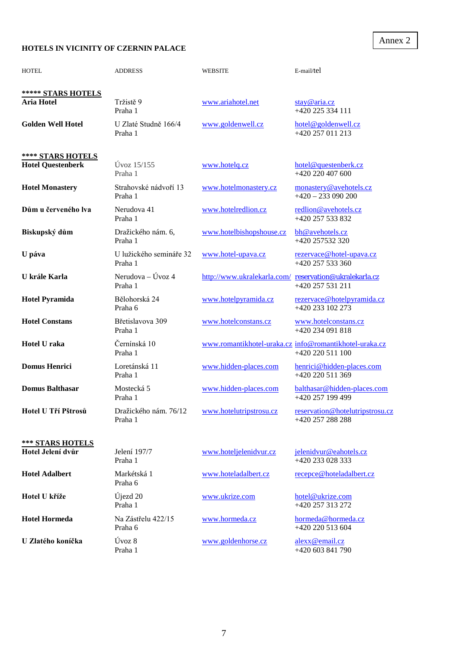# **HOTELS IN VICINITY OF CZERNIN PALACE**

| <b>HOTEL</b>                                  | <b>ADDRESS</b>                                           | <b>WEBSITE</b>                                         | E-mail/tel                                                                 |
|-----------------------------------------------|----------------------------------------------------------|--------------------------------------------------------|----------------------------------------------------------------------------|
| ***** STARS HOTELS<br><b>Aria Hotel</b>       | Tržistě 9<br>Praha 1                                     | www.ariahotel.net                                      | stay@aria.cz<br>+420 225 334 111                                           |
| <b>Golden Well Hotel</b>                      | U Zlaté Studně 166/4<br>Praha 1                          | www.goldenwell.cz                                      | hotel@goldenwell.cz<br>+420 257 011 213                                    |
| **** STARS HOTELS<br><b>Hotel Questenberk</b> | $Ú$ voz $15/155$<br>Praha 1                              | www.hotelq.cz                                          | hotel@questenberk.cz<br>+420 220 407 600                                   |
| <b>Hotel Monastery</b>                        | Strahovské nádvoří 13<br>Praha 1                         | www.hotelmonastery.cz                                  | monastery@avehotels.cz<br>$+420 - 233090200$                               |
| Dům u červeného lva                           | Nerudova 41<br>Praha 1                                   | www.hotelredlion.cz                                    | redlion@avehotels.cz<br>+420 257 533 832                                   |
| Biskupský dům                                 | Dražického nám. 6,<br>Praha 1                            | www.hotelbishopshouse.cz                               | bh@avehotels.cz<br>+420 257532 320                                         |
| U páva                                        | U lužického semináře 32<br>Praha 1                       | www.hotel-upava.cz                                     | rezervace@hotel-upava.cz<br>$+420$ 257 533 360                             |
| U krále Karla                                 | Nerudova – Úvoz 4<br>Praha 1                             | http://www.ukralekarla.com/ reservation@ukralekarla.cz | +420 257 531 211                                                           |
| <b>Hotel Pyramida</b>                         | Bělohorská 24<br>Praha 6                                 | www.hotelpyramida.cz                                   | rezervace@hotelpyramida.cz<br>+420 233 102 273                             |
| <b>Hotel Constans</b>                         | Břetislavova 309<br>Praha 1                              | www.hotelconstans.cz                                   | www.hotelconstans.cz<br>+420 234 091 818                                   |
| Hotel U raka                                  | Černínská 10<br>Praha 1                                  |                                                        | www.romantikhotel-uraka.cz info@romantikhotel-uraka.cz<br>+420 220 511 100 |
| <b>Domus Henrici</b>                          | Loretánská 11<br>Praha 1                                 | www.hidden-places.com                                  | henrici@hidden-places.com<br>+420 220 511 369                              |
| <b>Domus Balthasar</b>                        | Mostecká 5<br>Praha 1                                    | www.hidden-places.com                                  | balthasar@hidden-places.com<br>+420 257 199 499                            |
| Hotel U Tří Pštrosů                           | Dražického nám. 76/12 www.hotelutripstrosu.cz<br>Praha 1 |                                                        | reservation@hotelutripstrosu.cz<br>+420 257 288 288                        |
| <b>*** STARS HOTELS</b><br>Hotel Jelení dvůr  | Jelení 197/7<br>Praha 1                                  | www.hoteljelenidvur.cz                                 | jelenidvur@eahotels.cz<br>+420 233 028 333                                 |
| <b>Hotel Adalbert</b>                         | Markétská 1<br>Praha 6                                   | www.hoteladalbert.cz                                   | recepce@hoteladalbert.cz                                                   |
| Hotel U kříže                                 | Újezd <sub>20</sub><br>Praha 1                           | www.ukrize.com                                         | hotel@ukrize.com<br>+420 257 313 272                                       |
| <b>Hotel Hormeda</b>                          | Na Zástřelu 422/15<br>Praha 6                            | www.hormeda.cz                                         | hormeda@hormeda.cz<br>+420 220 513 604                                     |
| U Zlatého koníčka                             | Úvoz 8<br>Praha 1                                        | www.goldenhorse.cz                                     | alexx@email.cz<br>+420 603 841 790                                         |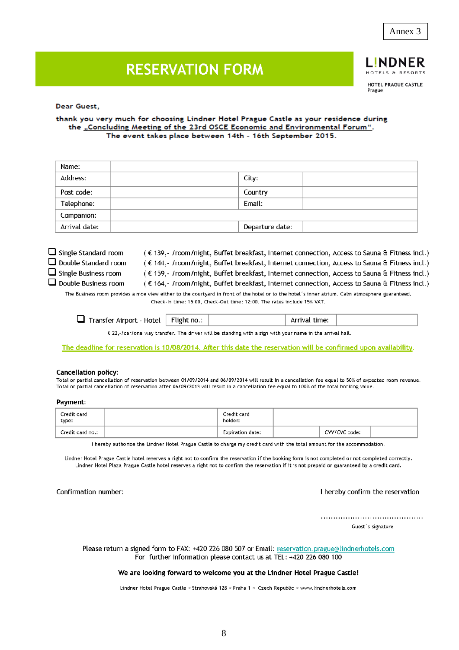8

HOTELS & RESORTS HOTEL PRAGUE CASTLE Prague

.INDNER

# **RESERVATION FORM**

### Dear Guest,

### thank you very much for choosing Lindner Hotel Prague Castle as your residence during the "Concluding Meeting of the 23rd OSCE Economic and Environmental Forum". The event takes place between 14th - 16th September 2015.

| Name:         |                 |  |
|---------------|-----------------|--|
| Address:      | City:           |  |
| Post code:    | Country         |  |
| Telephone:    | Email:          |  |
| Companion:    |                 |  |
| Arrival date: | Departure date: |  |

- $\Box$  Single Standard room
- $\Box$  Double Standard room  $\Box$  Single Business room

 $\Box$  Double Business room

(€ 139, - /room/night, Buffet breakfast, Internet connection, Access to Sauna & Fitness incl.) (€ 144,- /room/night, Buffet breakfast, Internet connection, Access to Sauna & Fitness incl.) (€ 159,- /room/night, Buffet breakfast, Internet connection, Access to Sauna & Fitness incl.) (€ 164,- /room/night, Buffet breakfast, Internet connection, Access to Sauna & Fitness incl.)

The Business room provides a nice view either to the courtyard in front of the hotel or to the hotel's inner atrium. Calm atmosphere guaranteed. Check-In time: 15:00, Check-Out time: 12:00. The rates include 15% VAT.

Transfer Airport - Hotel Flight no.: Arrival time:

€ 22, · / car/one way transfer. The driver will be standing with a sign with your name in the arrival hall.

The deadline for reservation is 10/08/2014. After this date the reservation will be confirmed upon availability.

#### **Cancellation policy:**

Total or partial cancellation of reservation between 01/09/2014 and 06/09/2014 will result in a cancellation fee equal to 50% of expected room revenue. Total or partial cancellation of reservation after 06/09/2013 will result in a cancellation fee equal to 100% of the total booking value.

#### Payment:

| Credit card<br>type: | Credit card<br>holder: |  |               |  |
|----------------------|------------------------|--|---------------|--|
| Credit card no.:     | Expiration date:       |  | CVV/CVC code: |  |

I hereby authorize the Lindner Hotel Prague Castle to charge my credit card with the total amount for the accommodation.

Lindner Hotel Prague Castle hotel reserves a right not to confirm the reservation if the booking form is not completed or not completed correctly. Lindner Hotel Plaza Prague Castle hotel reserves a right not to confirm the reservation if it is not prepaid or guaranteed by a credit card.

Confirmation number:

#### I hereby confirm the reservation

Guest's signature

Please return a signed form to FAX: +420 226 080 507 or Email: reservation.prague@lindnerhotels.com For further information please contact us at TEL: +420 226 080 100

### We are looking forward to welcome you at the Lindner Hotel Prague Castle!

Lindner Hotel Prague Castle ~ Strahovská 128 ~ Praha 1 ~ Czech Republic ~ www.lindnerhotels.com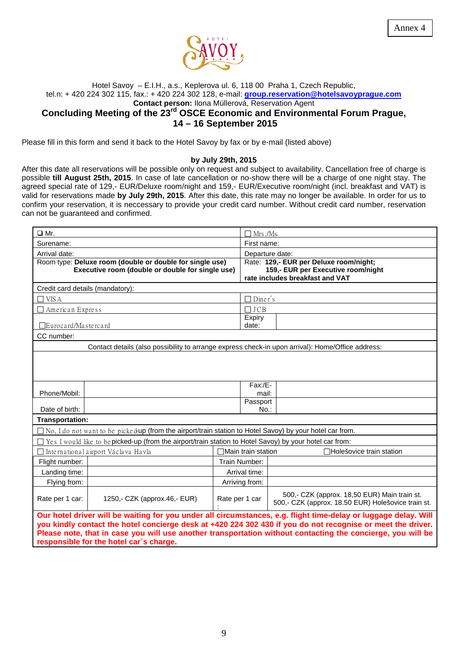

## Hotel Savoy – E.I.H., a.s., Keplerova ul. 6, 118 00 Praha 1, Czech Republic, tel.n: + 420 224 302 115, fax.: + 420 224 302 128, e-mail: **[group.reservation@hotelsavoyprague.com](mailto:group.reservation@hotelsavoyprague.com) Contact person:** Ilona Müllerová, Reservation Agent **Concluding Meeting of the 23rd OSCE Economic and Environmental Forum Prague, 14 – 16 September 2015**

Please fill in this form and send it back to the Hotel Savoy by fax or by e-mail (listed above)

### **by July 29th, 2015**

After this date all reservations will be possible only on request and subject to availability. Cancellation free of charge is possible **till August 25th, 2015**. In case of late cancellation or no-show there will be a charge of one night stay. The agreed special rate of 129,- EUR/Deluxe room/night and 159,- EUR/Executive room/night (incl. breakfast and VAT) is valid for reservations made **by July 29th, 2015**. After this date, this rate may no longer be available. In order for us to confirm your reservation, it is neccessary to provide your credit card number. Without credit card number, reservation can not be guaranteed and confirmed.

| $\Box$ Mr.                       |                                                                                                                                                                                                                            | ∃ Mrs ./Ms     |                                                                       |                                                                                                    |  |
|----------------------------------|----------------------------------------------------------------------------------------------------------------------------------------------------------------------------------------------------------------------------|----------------|-----------------------------------------------------------------------|----------------------------------------------------------------------------------------------------|--|
| Surename:                        |                                                                                                                                                                                                                            | First name:    |                                                                       |                                                                                                    |  |
| Arrival date:                    |                                                                                                                                                                                                                            |                | Departure date:                                                       |                                                                                                    |  |
|                                  | Room type: Deluxe room (double or double for single use)                                                                                                                                                                   |                |                                                                       | Rate: 129,- EUR per Deluxe room/night;                                                             |  |
|                                  | Executive room (double or double for single use)                                                                                                                                                                           |                | 159,- EUR per Executive room/night<br>rate includes breakfast and VAT |                                                                                                    |  |
| Credit card details (mandatory): |                                                                                                                                                                                                                            |                |                                                                       |                                                                                                    |  |
| VIS A<br>$\blacksquare$          |                                                                                                                                                                                                                            |                | Diner's                                                               |                                                                                                    |  |
| $\Box$ American Express          |                                                                                                                                                                                                                            |                | $\Box$ JCB                                                            |                                                                                                    |  |
|                                  |                                                                                                                                                                                                                            |                | Expiry                                                                |                                                                                                    |  |
| $\Box$ Eurocard/Mastercard       |                                                                                                                                                                                                                            |                | date:                                                                 |                                                                                                    |  |
| CC number:                       |                                                                                                                                                                                                                            |                |                                                                       |                                                                                                    |  |
|                                  | Contact details (also possibility to arrange express check-in upon arrival): Home/Office address:                                                                                                                          |                |                                                                       |                                                                                                    |  |
|                                  |                                                                                                                                                                                                                            |                |                                                                       |                                                                                                    |  |
|                                  |                                                                                                                                                                                                                            |                |                                                                       |                                                                                                    |  |
|                                  |                                                                                                                                                                                                                            |                |                                                                       |                                                                                                    |  |
| Phone/Mobil:                     |                                                                                                                                                                                                                            |                | Fax:/E-<br>mail:                                                      |                                                                                                    |  |
|                                  |                                                                                                                                                                                                                            |                | Passport                                                              |                                                                                                    |  |
| Date of birth:                   |                                                                                                                                                                                                                            |                | $No.$ :                                                               |                                                                                                    |  |
| Transportation:                  |                                                                                                                                                                                                                            |                |                                                                       |                                                                                                    |  |
|                                  | $\Box$ No, I do not want to be picked-up (from the airport/train station to Hotel Savoy) by your hotel car from.                                                                                                           |                |                                                                       |                                                                                                    |  |
|                                  | Yes I would like to be picked-up (from the airport/train station to Hotel Savoy) by your hotel car from:                                                                                                                   |                |                                                                       |                                                                                                    |  |
|                                  | □ International airport Václava Havla                                                                                                                                                                                      |                | ∃Main train station                                                   | <sup>∩</sup> Holešovice train station                                                              |  |
| Flight number:                   |                                                                                                                                                                                                                            |                | Train Number:                                                         |                                                                                                    |  |
| Landing time:                    |                                                                                                                                                                                                                            |                | Arrival time:                                                         |                                                                                                    |  |
| Flying from:                     |                                                                                                                                                                                                                            | Arriving from: |                                                                       |                                                                                                    |  |
| Rate per 1 car:                  | 1250,- CZK (approx.46,- EUR)                                                                                                                                                                                               | Rate per 1 car |                                                                       | 500,- CZK (approx. 18,50 EUR) Main train st.<br>500,- CZK (approx. 18.50 EUR) Holešovice train st. |  |
|                                  | Our hotel driver will be waiting for you under all circumstances, e.g. flight time-delay or luggage delay. Will                                                                                                            |                |                                                                       |                                                                                                    |  |
|                                  | you kindly contact the hotel concierge desk at +420 224 302 430 if you do not recognise or meet the driver.<br>Please note, that in case you will use another transportation without contacting the concierge, you will be |                |                                                                       |                                                                                                    |  |
|                                  |                                                                                                                                                                                                                            |                |                                                                       |                                                                                                    |  |
|                                  | responsible for the hotel car's charge.                                                                                                                                                                                    |                |                                                                       |                                                                                                    |  |